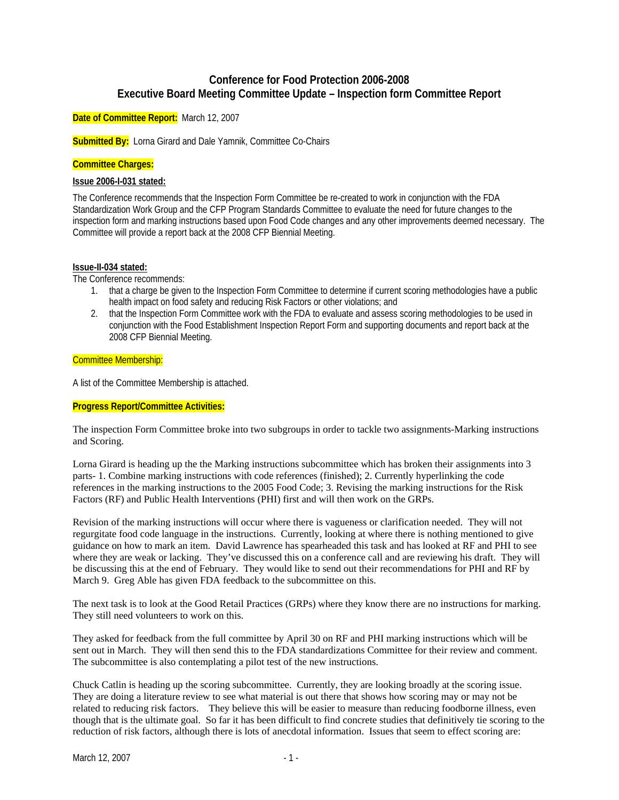# **Conference for Food Protection 2006-2008 Executive Board Meeting Committee Update – Inspection form Committee Report**

**Date of Committee Report:** March 12, 2007

**Submitted By:** Lorna Girard and Dale Yamnik, Committee Co-Chairs

### **Committee Charges:**

#### **Issue 2006-I-031 stated:**

The Conference recommends that the Inspection Form Committee be re-created to work in conjunction with the FDA Standardization Work Group and the CFP Program Standards Committee to evaluate the need for future changes to the inspection form and marking instructions based upon Food Code changes and any other improvements deemed necessary. The Committee will provide a report back at the 2008 CFP Biennial Meeting.

#### **Issue-II-034 stated:**

The Conference recommends:

- 1. that a charge be given to the Inspection Form Committee to determine if current scoring methodologies have a public health impact on food safety and reducing Risk Factors or other violations; and
- 2. that the Inspection Form Committee work with the FDA to evaluate and assess scoring methodologies to be used in conjunction with the Food Establishment Inspection Report Form and supporting documents and report back at the 2008 CFP Biennial Meeting.

#### Committee Membership:

A list of the Committee Membership is attached.

## **Progress Report/Committee Activities:**

The inspection Form Committee broke into two subgroups in order to tackle two assignments-Marking instructions and Scoring.

Lorna Girard is heading up the the Marking instructions subcommittee which has broken their assignments into 3 parts- 1. Combine marking instructions with code references (finished); 2. Currently hyperlinking the code references in the marking instructions to the 2005 Food Code; 3. Revising the marking instructions for the Risk Factors (RF) and Public Health Interventions (PHI) first and will then work on the GRPs.

Revision of the marking instructions will occur where there is vagueness or clarification needed. They will not regurgitate food code language in the instructions. Currently, looking at where there is nothing mentioned to give guidance on how to mark an item. David Lawrence has spearheaded this task and has looked at RF and PHI to see where they are weak or lacking. They've discussed this on a conference call and are reviewing his draft. They will be discussing this at the end of February. They would like to send out their recommendations for PHI and RF by March 9. Greg Able has given FDA feedback to the subcommittee on this.

The next task is to look at the Good Retail Practices (GRPs) where they know there are no instructions for marking. They still need volunteers to work on this.

They asked for feedback from the full committee by April 30 on RF and PHI marking instructions which will be sent out in March. They will then send this to the FDA standardizations Committee for their review and comment. The subcommittee is also contemplating a pilot test of the new instructions.

Chuck Catlin is heading up the scoring subcommittee. Currently, they are looking broadly at the scoring issue. They are doing a literature review to see what material is out there that shows how scoring may or may not be related to reducing risk factors. They believe this will be easier to measure than reducing foodborne illness, even though that is the ultimate goal. So far it has been difficult to find concrete studies that definitively tie scoring to the reduction of risk factors, although there is lots of anecdotal information. Issues that seem to effect scoring are: